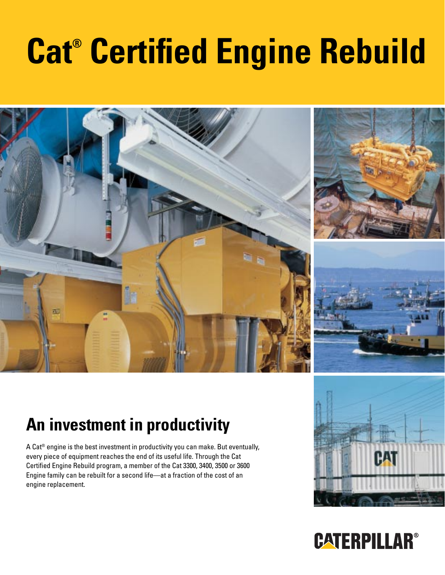# **Cat® Certified Engine Rebuild**



## **An investment in productivity**

A Cat® engine is the best investment in productivity you can make. But eventually, every piece of equipment reaches the end of its useful life. Through the Cat Certified Engine Rebuild program, a member of the Cat 3300, 3400, 3500 or 3600 Engine family can be rebuilt for a second life—at a fraction of the cost of an engine replacement.



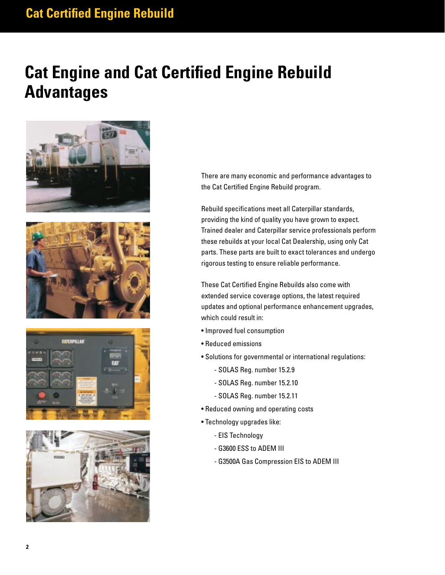### **Cat Certified Engine Rebuild**

### **Cat Engine and Cat Certified Engine Rebuild Advantages**









There are many economic and performance advantages to the Cat Certified Engine Rebuild program.

Rebuild specifications meet all Caterpillar standards, providing the kind of quality you have grown to expect. Trained dealer and Caterpillar service professionals perform these rebuilds at your local Cat Dealership, using only Cat parts. These parts are built to exact tolerances and undergo rigorous testing to ensure reliable performance.

These Cat Certified Engine Rebuilds also come with extended service coverage options, the latest required updates and optional performance enhancement upgrades, which could result in:

- Improved fuel consumption
- Reduced emissions
- Solutions for governmental or international regulations:
	- SOLAS Reg. number 15.2.9
	- SOLAS Reg. number 15.2.10
	- SOLAS Reg. number 15.2.11
- Reduced owning and operating costs
- Technology upgrades like:
	- EIS Technology
	- G3600 ESS to ADEM III
	- G3500A Gas Compression EIS to ADEM III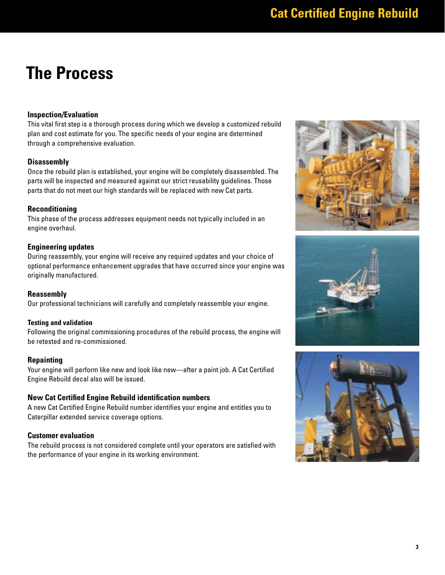### **The Process**

#### **Inspection/Evaluation**

This vital first step is a thorough process during which we develop a customized rebuild plan and cost estimate for you. The specific needs of your engine are determined through a comprehensive evaluation.

#### **Disassembly**

Once the rebuild plan is established, your engine will be completely disassembled. The parts will be inspected and measured against our strict reusability guidelines. Those parts that do not meet our high standards will be replaced with new Cat parts.

#### **Reconditioning**

This phase of the process addresses equipment needs not typically included in an engine overhaul.

#### **Engineering updates**

During reassembly, your engine will receive any required updates and your choice of optional performance enhancement upgrades that have occurred since your engine was originally manufactured.

#### **Reassembly**

Our professional technicians will carefully and completely reassemble your engine.

#### **Testing and validation**

Following the original commissioning procedures of the rebuild process, the engine will be retested and re-commissioned.

#### **Repainting**

Your engine will perform like new and look like new—after a paint job. A Cat Certified Engine Rebuild decal also will be issued.

#### **New Cat Certified Engine Rebuild identification numbers**

A new Cat Certified Engine Rebuild number identifies your engine and entitles you to Caterpillar extended service coverage options.

#### **Customer evaluation**

The rebuild process is not considered complete until your operators are satisfied with the performance of your engine in its working environment.